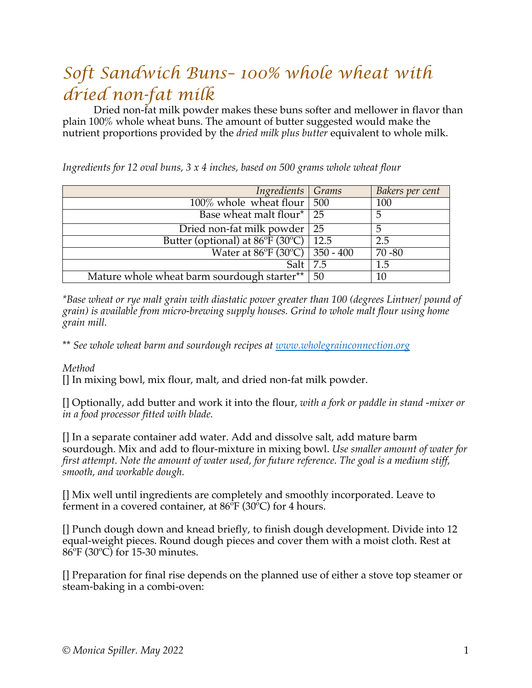## *Soft Sandwich Buns– 100% whole wheat with dried non-fat milk*

Dried non-fat milk powder makes these buns softer and mellower in flavor than plain 100% whole wheat buns. The amount of butter suggested would make the nutrient proportions provided by the *dried milk plus butter* equivalent to whole milk.

| Ingredients Grams                                      |     | Bakers per cent |
|--------------------------------------------------------|-----|-----------------|
| $100\%$ whole wheat flour   500                        |     | 100             |
| Base wheat malt flour <sup>*</sup>   25                |     | 5               |
| Dried non-fat milk powder   25                         |     |                 |
| Butter (optional) at $86^{\circ}F(30^{\circ}C)$   12.5 |     | 2.5             |
| Water at 86°F (30°C)   350 - 400                       |     | $70 - 80$       |
| Salt L                                                 | 7.5 | 1.5             |
| Mature whole wheat barm sourdough starter**            | 50  | 10              |

*Ingredients for 12 oval buns, 3 x 4 inches, based on 500 grams whole wheat flour*

*\*Base wheat or rye malt grain with diastatic power greater than 100 (degrees Lintner/ pound of grain) is available from micro-brewing supply houses. Grind to whole malt flour using home grain mill.*

\*\* *See whole wheat barm and sourdough recipes at www.wholegrainconnection.org*

## *Method*

[] In mixing bowl, mix flour, malt, and dried non-fat milk powder.

[] Optionally, add butter and work it into the flour, *with a fork or paddle in stand -mixer or in a food processor fitted with blade.*

[] In a separate container add water. Add and dissolve salt, add mature barm sourdough. Mix and add to flour-mixture in mixing bowl. *Use smaller amount of water for first attempt. Note the amount of water used, for future reference. The goal is a medium stiff, smooth, and workable dough.*

[] Mix well until ingredients are completely and smoothly incorporated. Leave to ferment in a covered container, at  $86^{\circ}F(30^{\circ}C)$  for 4 hours.

[] Punch dough down and knead briefly, to finish dough development. Divide into 12 equal-weight pieces. Round dough pieces and cover them with a moist cloth. Rest at 86ºF (30ºC) for 15-30 minutes.

[] Preparation for final rise depends on the planned use of either a stove top steamer or steam-baking in a combi-oven: